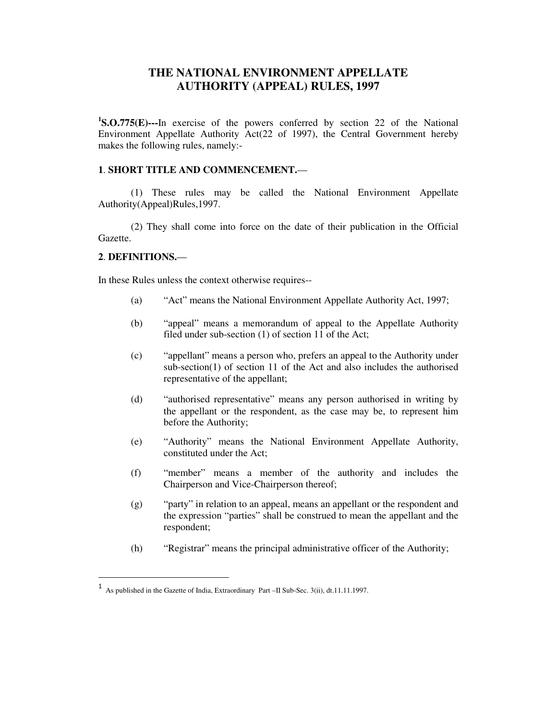# **THE NATIONAL ENVIRONMENT APPELLATE AUTHORITY (APPEAL) RULES, 1997**

**1 S.O.775(E)---**In exercise of the powers conferred by section 22 of the National Environment Appellate Authority Act(22 of 1997), the Central Government hereby makes the following rules, namely:-

#### **1**. **SHORT TITLE AND COMMENCEMENT.**—

(1) These rules may be called the National Environment Appellate Authority(Appeal)Rules,1997.

(2) They shall come into force on the date of their publication in the Official Gazette.

## **2**. **DEFINITIONS.**—

l

In these Rules unless the context otherwise requires--

- (a) "Act" means the National Environment Appellate Authority Act, 1997;
- (b) "appeal" means a memorandum of appeal to the Appellate Authority filed under sub-section (1) of section 11 of the Act;
- (c) "appellant" means a person who, prefers an appeal to the Authority under sub-section(1) of section 11 of the Act and also includes the authorised representative of the appellant;
- (d) "authorised representative" means any person authorised in writing by the appellant or the respondent, as the case may be, to represent him before the Authority;
- (e) "Authority" means the National Environment Appellate Authority, constituted under the Act;
- (f) "member" means a member of the authority and includes the Chairperson and Vice-Chairperson thereof;
- (g) "party" in relation to an appeal, means an appellant or the respondent and the expression "parties" shall be construed to mean the appellant and the respondent;
- (h) "Registrar" means the principal administrative officer of the Authority;

<sup>1</sup> As published in the Gazette of India, Extraordinary Part –II Sub-Sec. 3(ii), dt.11.11.1997.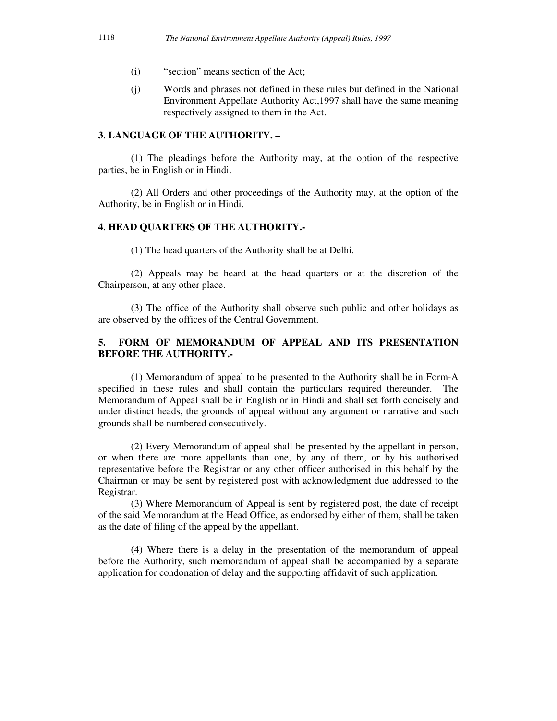- (i) "section" means section of the Act;
- (j) Words and phrases not defined in these rules but defined in the National Environment Appellate Authority Act,1997 shall have the same meaning respectively assigned to them in the Act.

## **3**. **LANGUAGE OF THE AUTHORITY. –**

(1) The pleadings before the Authority may, at the option of the respective parties, be in English or in Hindi.

(2) All Orders and other proceedings of the Authority may, at the option of the Authority, be in English or in Hindi.

#### **4**. **HEAD QUARTERS OF THE AUTHORITY.-**

(1) The head quarters of the Authority shall be at Delhi.

 (2) Appeals may be heard at the head quarters or at the discretion of the Chairperson, at any other place.

 (3) The office of the Authority shall observe such public and other holidays as are observed by the offices of the Central Government.

# **5. FORM OF MEMORANDUM OF APPEAL AND ITS PRESENTATION BEFORE THE AUTHORITY.-**

(1) Memorandum of appeal to be presented to the Authority shall be in Form-A specified in these rules and shall contain the particulars required thereunder. The Memorandum of Appeal shall be in English or in Hindi and shall set forth concisely and under distinct heads, the grounds of appeal without any argument or narrative and such grounds shall be numbered consecutively.

(2) Every Memorandum of appeal shall be presented by the appellant in person, or when there are more appellants than one, by any of them, or by his authorised representative before the Registrar or any other officer authorised in this behalf by the Chairman or may be sent by registered post with acknowledgment due addressed to the Registrar.

(3) Where Memorandum of Appeal is sent by registered post, the date of receipt of the said Memorandum at the Head Office, as endorsed by either of them, shall be taken as the date of filing of the appeal by the appellant.

(4) Where there is a delay in the presentation of the memorandum of appeal before the Authority, such memorandum of appeal shall be accompanied by a separate application for condonation of delay and the supporting affidavit of such application.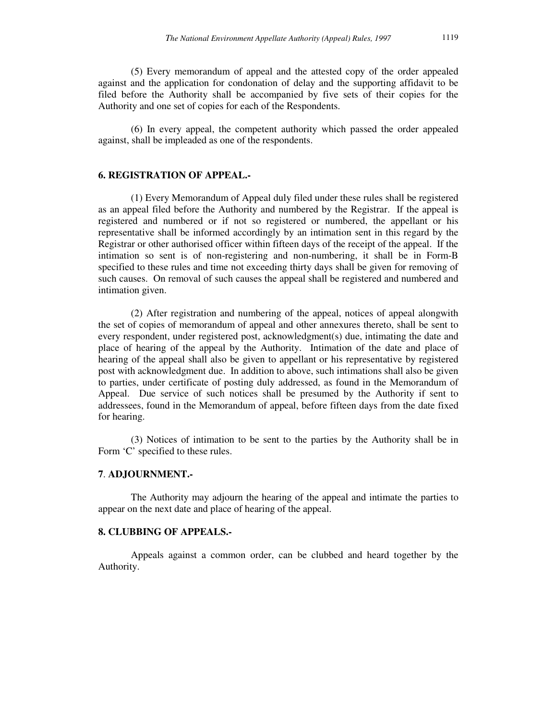(5) Every memorandum of appeal and the attested copy of the order appealed against and the application for condonation of delay and the supporting affidavit to be filed before the Authority shall be accompanied by five sets of their copies for the Authority and one set of copies for each of the Respondents.

(6) In every appeal, the competent authority which passed the order appealed against, shall be impleaded as one of the respondents.

## **6. REGISTRATION OF APPEAL.-**

(1) Every Memorandum of Appeal duly filed under these rules shall be registered as an appeal filed before the Authority and numbered by the Registrar. If the appeal is registered and numbered or if not so registered or numbered, the appellant or his representative shall be informed accordingly by an intimation sent in this regard by the Registrar or other authorised officer within fifteen days of the receipt of the appeal. If the intimation so sent is of non-registering and non-numbering, it shall be in Form-B specified to these rules and time not exceeding thirty days shall be given for removing of such causes. On removal of such causes the appeal shall be registered and numbered and intimation given.

 (2) After registration and numbering of the appeal, notices of appeal alongwith the set of copies of memorandum of appeal and other annexures thereto, shall be sent to every respondent, under registered post, acknowledgment(s) due, intimating the date and place of hearing of the appeal by the Authority. Intimation of the date and place of hearing of the appeal shall also be given to appellant or his representative by registered post with acknowledgment due. In addition to above, such intimations shall also be given to parties, under certificate of posting duly addressed, as found in the Memorandum of Appeal. Due service of such notices shall be presumed by the Authority if sent to addressees, found in the Memorandum of appeal, before fifteen days from the date fixed for hearing.

 (3) Notices of intimation to be sent to the parties by the Authority shall be in Form 'C' specified to these rules.

#### **7**. **ADJOURNMENT.-**

The Authority may adjourn the hearing of the appeal and intimate the parties to appear on the next date and place of hearing of the appeal.

#### **8. CLUBBING OF APPEALS.-**

Appeals against a common order, can be clubbed and heard together by the Authority.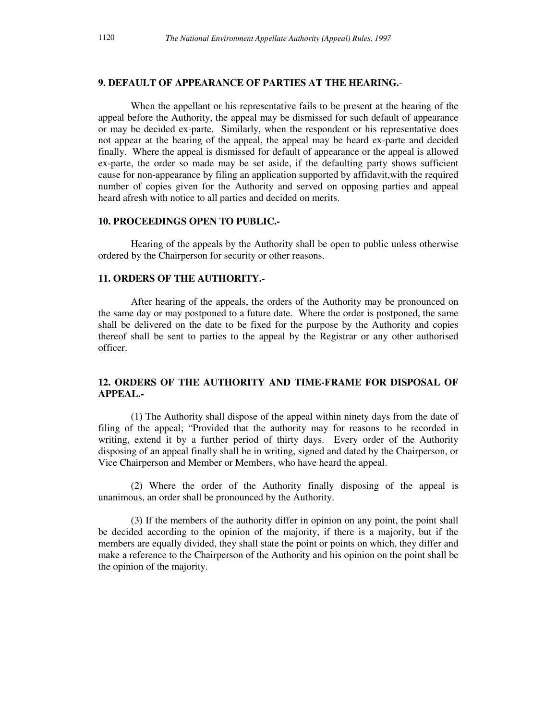## **9. DEFAULT OF APPEARANCE OF PARTIES AT THE HEARING.**-

When the appellant or his representative fails to be present at the hearing of the appeal before the Authority, the appeal may be dismissed for such default of appearance or may be decided ex-parte. Similarly, when the respondent or his representative does not appear at the hearing of the appeal, the appeal may be heard ex-parte and decided finally. Where the appeal is dismissed for default of appearance or the appeal is allowed ex-parte, the order so made may be set aside, if the defaulting party shows sufficient cause for non-appearance by filing an application supported by affidavit,with the required number of copies given for the Authority and served on opposing parties and appeal heard afresh with notice to all parties and decided on merits.

#### **10. PROCEEDINGS OPEN TO PUBLIC.-**

Hearing of the appeals by the Authority shall be open to public unless otherwise ordered by the Chairperson for security or other reasons.

#### **11. ORDERS OF THE AUTHORITY.**-

After hearing of the appeals, the orders of the Authority may be pronounced on the same day or may postponed to a future date. Where the order is postponed, the same shall be delivered on the date to be fixed for the purpose by the Authority and copies thereof shall be sent to parties to the appeal by the Registrar or any other authorised officer.

# **12. ORDERS OF THE AUTHORITY AND TIME-FRAME FOR DISPOSAL OF APPEAL.-**

(1) The Authority shall dispose of the appeal within ninety days from the date of filing of the appeal; "Provided that the authority may for reasons to be recorded in writing, extend it by a further period of thirty days. Every order of the Authority disposing of an appeal finally shall be in writing, signed and dated by the Chairperson, or Vice Chairperson and Member or Members, who have heard the appeal.

 (2) Where the order of the Authority finally disposing of the appeal is unanimous, an order shall be pronounced by the Authority.

 (3) If the members of the authority differ in opinion on any point, the point shall be decided according to the opinion of the majority, if there is a majority, but if the members are equally divided, they shall state the point or points on which, they differ and make a reference to the Chairperson of the Authority and his opinion on the point shall be the opinion of the majority.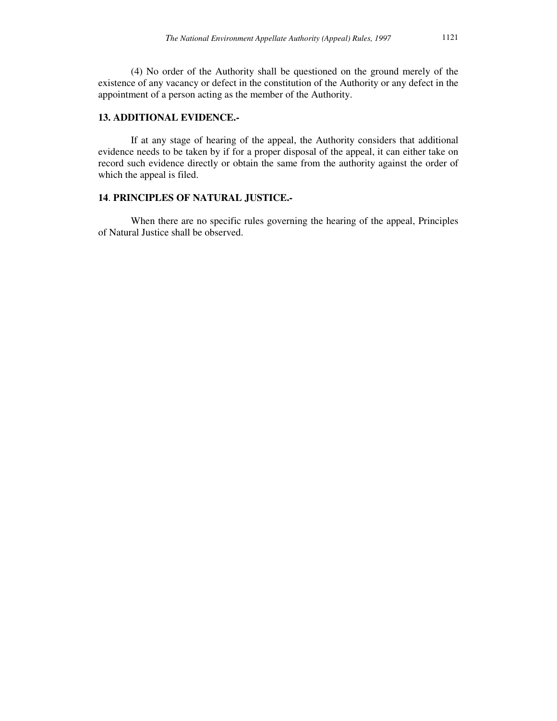(4) No order of the Authority shall be questioned on the ground merely of the existence of any vacancy or defect in the constitution of the Authority or any defect in the appointment of a person acting as the member of the Authority.

# **13. ADDITIONAL EVIDENCE.-**

If at any stage of hearing of the appeal, the Authority considers that additional evidence needs to be taken by if for a proper disposal of the appeal, it can either take on record such evidence directly or obtain the same from the authority against the order of which the appeal is filed.

#### **14**. **PRINCIPLES OF NATURAL JUSTICE.-**

When there are no specific rules governing the hearing of the appeal, Principles of Natural Justice shall be observed.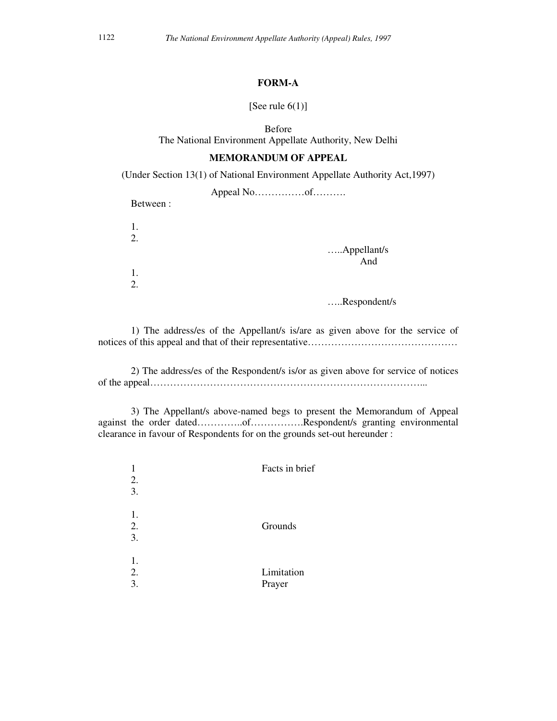# **FORM-A**

#### [See rule  $6(1)$ ]

Before

The National Environment Appellate Authority, New Delhi

### **MEMORANDUM OF APPEAL**

(Under Section 13(1) of National Environment Appellate Authority Act,1997)

| Between: |             |
|----------|-------------|
| 1.<br>2. | Appellant/s |
| 1.       | And         |

…..Respondent/s

 1) The address/es of the Appellant/s is/are as given above for the service of notices of this appeal and that of their representative……………………………………………………………………

 2) The address/es of the Respondent/s is/or as given above for service of notices of the appeal………………………………………………………………………...

 3) The Appellant/s above-named begs to present the Memorandum of Appeal against the order dated…………..of…………….Respondent/s granting environmental clearance in favour of Respondents for on the grounds set-out hereunder :

|                | Facts in brief       |
|----------------|----------------------|
| 2.<br>3.       |                      |
| 1.<br>2.<br>3. | Grounds              |
| 1.<br>2.<br>3. | Limitation<br>Prayer |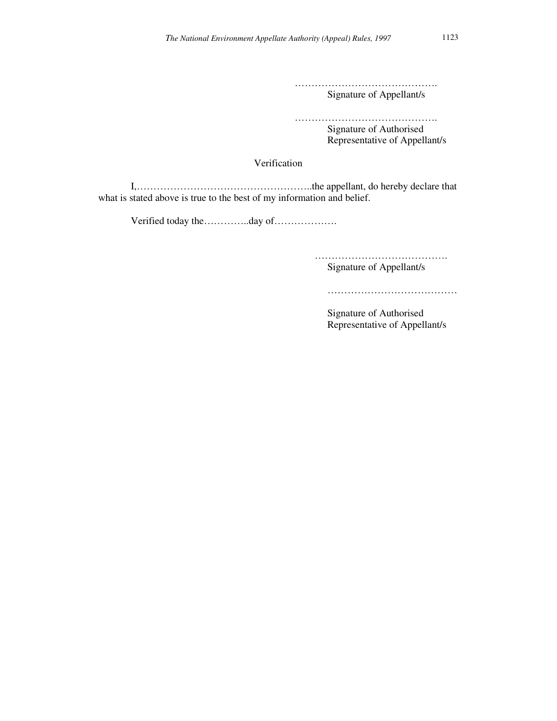………………………………………… Signature of Appellant/s

……………………………………………… Signature of Authorised Representative of Appellant/s

Verification

 I,……………………………………………..the appellant, do hereby declare that what is stated above is true to the best of my information and belief.

Verified today the…………..day of……………….

 …………………………………. Signature of Appellant/s

…………………………………………

Signature of Authorised Representative of Appellant/s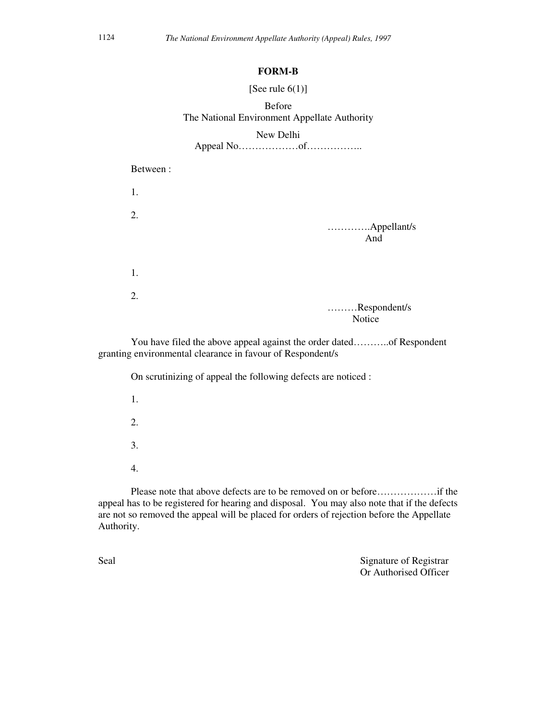#### **FORM-B**

#### [See rule  $6(1)$ ]

# Before The National Environment Appellate Authority

## New Delhi

# Appeal No………………of……………..

Between :

| 1. |                    |
|----|--------------------|
| 2. | Appellant/s<br>And |
| 1. |                    |
| 2. | Respondent/s       |
|    | Notice             |

 You have filed the above appeal against the order dated………..of Respondent granting environmental clearance in favour of Respondent/s

On scrutinizing of appeal the following defects are noticed :

- 1. 2.
- 3.
- 4.

 Please note that above defects are to be removed on or before………………if the appeal has to be registered for hearing and disposal. You may also note that if the defects are not so removed the appeal will be placed for orders of rejection before the Appellate Authority.

Seal Signature of Registrar Or Authorised Officer